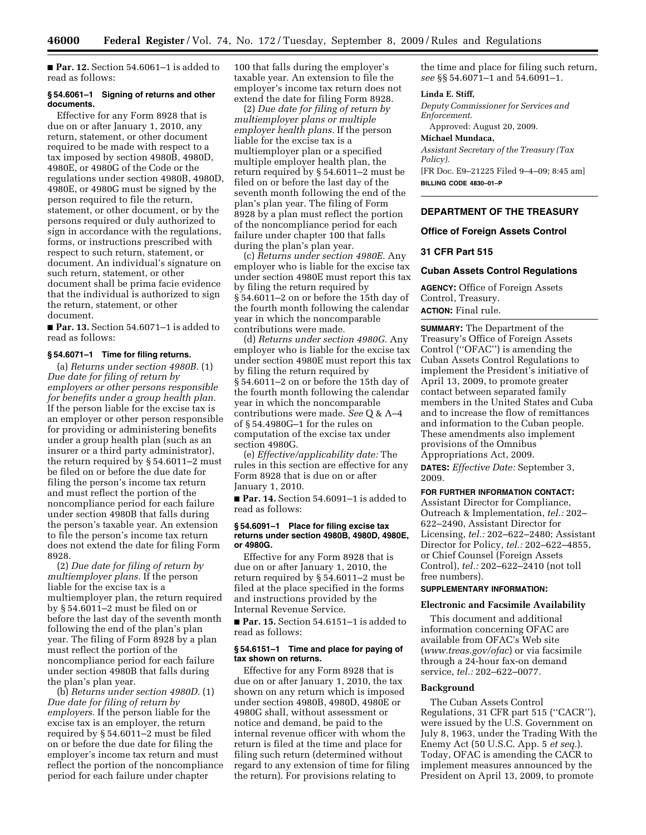■ **Par. 12.** Section 54.6061–1 is added to read as follows:

### **§ 54.6061–1 Signing of returns and other documents.**

Effective for any Form 8928 that is due on or after January 1, 2010, any return, statement, or other document required to be made with respect to a tax imposed by section 4980B, 4980D, 4980E, or 4980G of the Code or the regulations under section 4980B, 4980D, 4980E, or 4980G must be signed by the person required to file the return, statement, or other document, or by the persons required or duly authorized to sign in accordance with the regulations, forms, or instructions prescribed with respect to such return, statement, or document. An individual's signature on such return, statement, or other document shall be prima facie evidence that the individual is authorized to sign the return, statement, or other document.

■ **Par. 13.** Section 54.6071–1 is added to read as follows:

# **§ 54.6071–1 Time for filing returns.**

(a) *Returns under section 4980B.* (1) *Due date for filing of return by employers or other persons responsible for benefits under a group health plan.*  If the person liable for the excise tax is an employer or other person responsible for providing or administering benefits under a group health plan (such as an insurer or a third party administrator), the return required by § 54.6011–2 must be filed on or before the due date for filing the person's income tax return and must reflect the portion of the noncompliance period for each failure under section 4980B that falls during the person's taxable year. An extension to file the person's income tax return does not extend the date for filing Form 8928.

(2) *Due date for filing of return by multiemployer plans.* If the person liable for the excise tax is a multiemployer plan, the return required by § 54.6011–2 must be filed on or before the last day of the seventh month following the end of the plan's plan year. The filing of Form 8928 by a plan must reflect the portion of the noncompliance period for each failure under section 4980B that falls during the plan's plan year.

(b) *Returns under section 4980D.* (1) *Due date for filing of return by employers.* If the person liable for the excise tax is an employer, the return required by § 54.6011–2 must be filed on or before the due date for filing the employer's income tax return and must reflect the portion of the noncompliance period for each failure under chapter

100 that falls during the employer's taxable year. An extension to file the employer's income tax return does not extend the date for filing Form 8928.

(2) *Due date for filing of return by multiemployer plans or multiple employer health plans.* If the person liable for the excise tax is a multiemployer plan or a specified multiple employer health plan, the return required by § 54.6011–2 must be filed on or before the last day of the seventh month following the end of the plan's plan year. The filing of Form 8928 by a plan must reflect the portion of the noncompliance period for each failure under chapter 100 that falls during the plan's plan year.

(c) *Returns under section 4980E.* Any employer who is liable for the excise tax under section 4980E must report this tax by filing the return required by § 54.6011–2 on or before the 15th day of the fourth month following the calendar year in which the noncomparable contributions were made.

(d) *Returns under section 4980G.* Any employer who is liable for the excise tax under section 4980E must report this tax by filing the return required by § 54.6011–2 on or before the 15th day of the fourth month following the calendar year in which the noncomparable contributions were made. *See* Q & A–4 of § 54.4980G–1 for the rules on computation of the excise tax under section 4980G.

(e) *Effective/applicability date:* The rules in this section are effective for any Form 8928 that is due on or after January 1, 2010.

■ **Par. 14.** Section 54.6091–1 is added to read as follows:

#### **§ 54.6091–1 Place for filing excise tax returns under section 4980B, 4980D, 4980E, or 4980G.**

Effective for any Form 8928 that is due on or after January 1, 2010, the return required by § 54.6011–2 must be filed at the place specified in the forms and instructions provided by the Internal Revenue Service.

■ **Par. 15.** Section 54.6151–1 is added to read as follows:

# **§ 54.6151–1 Time and place for paying of tax shown on returns.**

Effective for any Form 8928 that is due on or after January 1, 2010, the tax shown on any return which is imposed under section 4980B, 4980D, 4980E or 4980G shall, without assessment or notice and demand, be paid to the internal revenue officer with whom the return is filed at the time and place for filing such return (determined without regard to any extension of time for filing the return). For provisions relating to

the time and place for filing such return, *see* §§ 54.6071–1 and 54.6091–1.

#### **Linda E. Stiff,**

*Deputy Commissioner for Services and Enforcement.* 

Approved: August 20, 2009.

### **Michael Mundaca,**

*Assistant Secretary of the Treasury (Tax Policy).* 

[FR Doc. E9–21225 Filed 9–4–09; 8:45 am] **BILLING CODE 4830–01–P** 

# **DEPARTMENT OF THE TREASURY**

# **Office of Foreign Assets Control**

### **31 CFR Part 515**

#### **Cuban Assets Control Regulations**

**AGENCY:** Office of Foreign Assets Control, Treasury.

# **ACTION:** Final rule.

**SUMMARY:** The Department of the Treasury's Office of Foreign Assets Control (''OFAC'') is amending the Cuban Assets Control Regulations to implement the President's initiative of April 13, 2009, to promote greater contact between separated family members in the United States and Cuba and to increase the flow of remittances and information to the Cuban people. These amendments also implement provisions of the Omnibus Appropriations Act, 2009.

**DATES:** *Effective Date:* September 3, 2009.

# **FOR FURTHER INFORMATION CONTACT:**

Assistant Director for Compliance, Outreach & Implementation, *tel.:* 202– 622–2490, Assistant Director for Licensing, *tel.:* 202–622–2480; Assistant Director for Policy, *tel.:* 202–622–4855, or Chief Counsel (Foreign Assets Control), *tel.:* 202–622–2410 (not toll free numbers).

#### **SUPPLEMENTARY INFORMATION:**

#### **Electronic and Facsimile Availability**

This document and additional information concerning OFAC are available from OFAC's Web site (*www.treas.gov/ofac*) or via facsimile through a 24-hour fax-on demand service, *tel.:* 202–622–0077.

#### **Background**

The Cuban Assets Control Regulations, 31 CFR part 515 (''CACR''), were issued by the U.S. Government on July 8, 1963, under the Trading With the Enemy Act (50 U.S.C. App. 5 *et seq.*). Today, OFAC is amending the CACR to implement measures announced by the President on April 13, 2009, to promote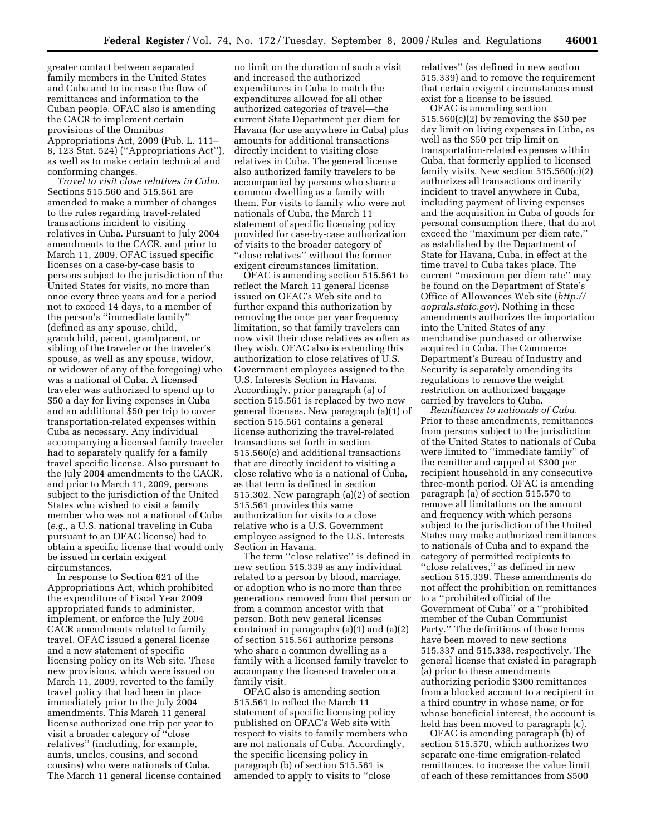greater contact between separated family members in the United States and Cuba and to increase the flow of remittances and information to the Cuban people. OFAC also is amending the CACR to implement certain provisions of the Omnibus Appropriations Act, 2009 (Pub. L. 111– 8, 123 Stat. 524) (''Appropriations Act''), as well as to make certain technical and conforming changes.

*Travel to visit close relatives in Cuba.*  Sections 515.560 and 515.561 are amended to make a number of changes to the rules regarding travel-related transactions incident to visiting relatives in Cuba. Pursuant to July 2004 amendments to the CACR, and prior to March 11, 2009, OFAC issued specific licenses on a case-by-case basis to persons subject to the jurisdiction of the United States for visits, no more than once every three years and for a period not to exceed 14 days, to a member of the person's ''immediate family'' (defined as any spouse, child, grandchild, parent, grandparent, or sibling of the traveler or the traveler's spouse, as well as any spouse, widow, or widower of any of the foregoing) who was a national of Cuba. A licensed traveler was authorized to spend up to \$50 a day for living expenses in Cuba and an additional \$50 per trip to cover transportation-related expenses within Cuba as necessary. Any individual accompanying a licensed family traveler had to separately qualify for a family travel specific license. Also pursuant to the July 2004 amendments to the CACR, and prior to March 11, 2009, persons subject to the jurisdiction of the United States who wished to visit a family member who was not a national of Cuba (*e.g.,* a U.S. national traveling in Cuba pursuant to an OFAC license) had to obtain a specific license that would only be issued in certain exigent circumstances.

In response to Section 621 of the Appropriations Act, which prohibited the expenditure of Fiscal Year 2009 appropriated funds to administer, implement, or enforce the July 2004 CACR amendments related to family travel, OFAC issued a general license and a new statement of specific licensing policy on its Web site. These new provisions, which were issued on March 11, 2009, reverted to the family travel policy that had been in place immediately prior to the July 2004 amendments. This March 11 general license authorized one trip per year to visit a broader category of ''close relatives'' (including, for example, aunts, uncles, cousins, and second cousins) who were nationals of Cuba. The March 11 general license contained

no limit on the duration of such a visit and increased the authorized expenditures in Cuba to match the expenditures allowed for all other authorized categories of travel—the current State Department per diem for Havana (for use anywhere in Cuba) plus amounts for additional transactions directly incident to visiting close relatives in Cuba. The general license also authorized family travelers to be accompanied by persons who share a common dwelling as a family with them. For visits to family who were not nationals of Cuba, the March 11 statement of specific licensing policy provided for case-by-case authorization of visits to the broader category of ''close relatives'' without the former exigent circumstances limitation.

OFAC is amending section 515.561 to reflect the March 11 general license issued on OFAC's Web site and to further expand this authorization by removing the once per year frequency limitation, so that family travelers can now visit their close relatives as often as they wish. OFAC also is extending this authorization to close relatives of U.S. Government employees assigned to the U.S. Interests Section in Havana. Accordingly, prior paragraph (a) of section 515.561 is replaced by two new general licenses. New paragraph (a)(1) of section 515.561 contains a general license authorizing the travel-related transactions set forth in section 515.560(c) and additional transactions that are directly incident to visiting a close relative who is a national of Cuba, as that term is defined in section 515.302. New paragraph (a)(2) of section 515.561 provides this same authorization for visits to a close relative who is a U.S. Government employee assigned to the U.S. Interests Section in Havana.

The term ''close relative'' is defined in new section 515.339 as any individual related to a person by blood, marriage, or adoption who is no more than three generations removed from that person or from a common ancestor with that person. Both new general licenses contained in paragraphs (a)(1) and (a)(2) of section 515.561 authorize persons who share a common dwelling as a family with a licensed family traveler to accompany the licensed traveler on a family visit.

OFAC also is amending section 515.561 to reflect the March 11 statement of specific licensing policy published on OFAC's Web site with respect to visits to family members who are not nationals of Cuba. Accordingly, the specific licensing policy in paragraph (b) of section 515.561 is amended to apply to visits to ''close

relatives'' (as defined in new section 515.339) and to remove the requirement that certain exigent circumstances must exist for a license to be issued.

OFAC is amending section 515.560(c)(2) by removing the \$50 per day limit on living expenses in Cuba, as well as the \$50 per trip limit on transportation-related expenses within Cuba, that formerly applied to licensed family visits. New section  $515.560(c)(2)$ authorizes all transactions ordinarily incident to travel anywhere in Cuba, including payment of living expenses and the acquisition in Cuba of goods for personal consumption there, that do not exceed the ''maximum per diem rate,'' as established by the Department of State for Havana, Cuba, in effect at the time travel to Cuba takes place. The current ''maximum per diem rate'' may be found on the Department of State's Office of Allowances Web site (*http:// aoprals.state.gov*). Nothing in these amendments authorizes the importation into the United States of any merchandise purchased or otherwise acquired in Cuba. The Commerce Department's Bureau of Industry and Security is separately amending its regulations to remove the weight restriction on authorized baggage carried by travelers to Cuba.

*Remittances to nationals of Cuba.*  Prior to these amendments, remittances from persons subject to the jurisdiction of the United States to nationals of Cuba were limited to ''immediate family'' of the remitter and capped at \$300 per recipient household in any consecutive three-month period. OFAC is amending paragraph (a) of section 515.570 to remove all limitations on the amount and frequency with which persons subject to the jurisdiction of the United States may make authorized remittances to nationals of Cuba and to expand the category of permitted recipients to ''close relatives,'' as defined in new section 515.339. These amendments do not affect the prohibition on remittances to a ''prohibited official of the Government of Cuba'' or a ''prohibited member of the Cuban Communist Party.'' The definitions of those terms have been moved to new sections 515.337 and 515.338, respectively. The general license that existed in paragraph (a) prior to these amendments authorizing periodic \$300 remittances from a blocked account to a recipient in a third country in whose name, or for whose beneficial interest, the account is held has been moved to paragraph (c).

OFAC is amending paragraph (b) of section 515.570, which authorizes two separate one-time emigration-related remittances, to increase the value limit of each of these remittances from \$500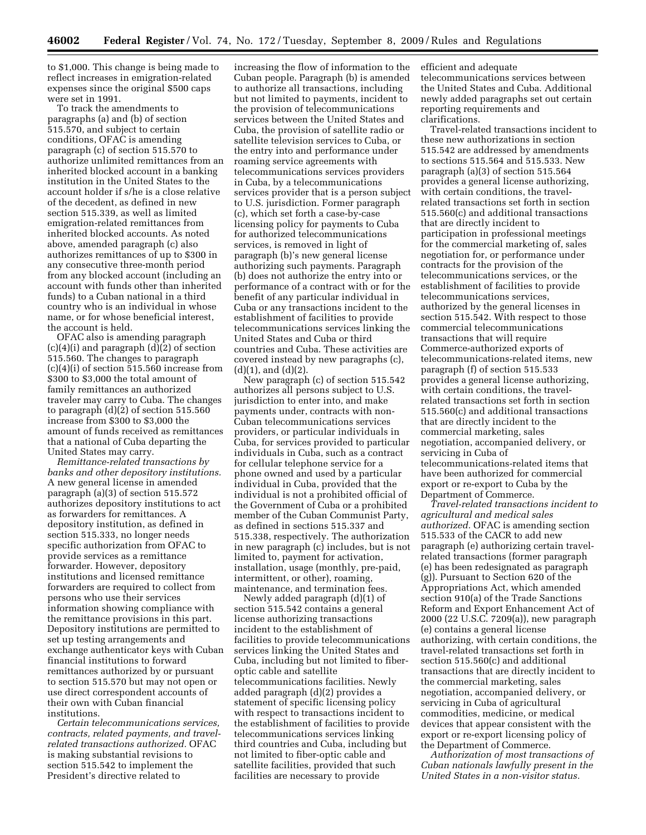to \$1,000. This change is being made to reflect increases in emigration-related expenses since the original \$500 caps were set in 1991.

To track the amendments to paragraphs (a) and (b) of section 515.570, and subject to certain conditions, OFAC is amending paragraph (c) of section 515.570 to authorize unlimited remittances from an inherited blocked account in a banking institution in the United States to the account holder if s/he is a close relative of the decedent, as defined in new section 515.339, as well as limited emigration-related remittances from inherited blocked accounts. As noted above, amended paragraph (c) also authorizes remittances of up to \$300 in any consecutive three-month period from any blocked account (including an account with funds other than inherited funds) to a Cuban national in a third country who is an individual in whose name, or for whose beneficial interest, the account is held.

OFAC also is amending paragraph  $(c)(4)(i)$  and paragraph  $(d)(2)$  of section 515.560. The changes to paragraph (c)(4)(i) of section 515.560 increase from \$300 to \$3,000 the total amount of family remittances an authorized traveler may carry to Cuba. The changes to paragraph (d)(2) of section 515.560 increase from \$300 to \$3,000 the amount of funds received as remittances that a national of Cuba departing the United States may carry.

*Remittance-related transactions by banks and other depository institutions.*  A new general license in amended paragraph (a)(3) of section 515.572 authorizes depository institutions to act as forwarders for remittances. A depository institution, as defined in section 515.333, no longer needs specific authorization from OFAC to provide services as a remittance forwarder. However, depository institutions and licensed remittance forwarders are required to collect from persons who use their services information showing compliance with the remittance provisions in this part. Depository institutions are permitted to set up testing arrangements and exchange authenticator keys with Cuban financial institutions to forward remittances authorized by or pursuant to section 515.570 but may not open or use direct correspondent accounts of their own with Cuban financial institutions.

*Certain telecommunications services, contracts, related payments, and travelrelated transactions authorized.* OFAC is making substantial revisions to section 515.542 to implement the President's directive related to

increasing the flow of information to the Cuban people. Paragraph (b) is amended to authorize all transactions, including but not limited to payments, incident to the provision of telecommunications services between the United States and Cuba, the provision of satellite radio or satellite television services to Cuba, or the entry into and performance under roaming service agreements with telecommunications services providers in Cuba, by a telecommunications services provider that is a person subject to U.S. jurisdiction. Former paragraph (c), which set forth a case-by-case licensing policy for payments to Cuba for authorized telecommunications services, is removed in light of paragraph (b)'s new general license authorizing such payments. Paragraph (b) does not authorize the entry into or performance of a contract with or for the benefit of any particular individual in Cuba or any transactions incident to the establishment of facilities to provide telecommunications services linking the United States and Cuba or third countries and Cuba. These activities are covered instead by new paragraphs (c),  $(d)(1)$ , and  $(d)(2)$ .

New paragraph (c) of section 515.542 authorizes all persons subject to U.S. jurisdiction to enter into, and make payments under, contracts with non-Cuban telecommunications services providers, or particular individuals in Cuba, for services provided to particular individuals in Cuba, such as a contract for cellular telephone service for a phone owned and used by a particular individual in Cuba, provided that the individual is not a prohibited official of the Government of Cuba or a prohibited member of the Cuban Communist Party, as defined in sections 515.337 and 515.338, respectively. The authorization in new paragraph (c) includes, but is not limited to, payment for activation, installation, usage (monthly, pre-paid, intermittent, or other), roaming, maintenance, and termination fees.

Newly added paragraph (d)(1) of section 515.542 contains a general license authorizing transactions incident to the establishment of facilities to provide telecommunications services linking the United States and Cuba, including but not limited to fiberoptic cable and satellite telecommunications facilities. Newly added paragraph (d)(2) provides a statement of specific licensing policy with respect to transactions incident to the establishment of facilities to provide telecommunications services linking third countries and Cuba, including but not limited to fiber-optic cable and satellite facilities, provided that such facilities are necessary to provide

efficient and adequate telecommunications services between the United States and Cuba. Additional newly added paragraphs set out certain reporting requirements and clarifications.

Travel-related transactions incident to these new authorizations in section 515.542 are addressed by amendments to sections 515.564 and 515.533. New paragraph (a)(3) of section 515.564 provides a general license authorizing, with certain conditions, the travelrelated transactions set forth in section 515.560(c) and additional transactions that are directly incident to participation in professional meetings for the commercial marketing of, sales negotiation for, or performance under contracts for the provision of the telecommunications services, or the establishment of facilities to provide telecommunications services, authorized by the general licenses in section 515.542. With respect to those commercial telecommunications transactions that will require Commerce-authorized exports of telecommunications-related items, new paragraph (f) of section 515.533 provides a general license authorizing, with certain conditions, the travelrelated transactions set forth in section 515.560(c) and additional transactions that are directly incident to the commercial marketing, sales negotiation, accompanied delivery, or servicing in Cuba of telecommunications-related items that have been authorized for commercial export or re-export to Cuba by the Department of Commerce.

*Travel-related transactions incident to agricultural and medical sales authorized.* OFAC is amending section 515.533 of the CACR to add new paragraph (e) authorizing certain travelrelated transactions (former paragraph (e) has been redesignated as paragraph (g)). Pursuant to Section 620 of the Appropriations Act, which amended section 910(a) of the Trade Sanctions Reform and Export Enhancement Act of 2000 (22 U.S.C. 7209(a)), new paragraph (e) contains a general license authorizing, with certain conditions, the travel-related transactions set forth in section 515.560(c) and additional transactions that are directly incident to the commercial marketing, sales negotiation, accompanied delivery, or servicing in Cuba of agricultural commodities, medicine, or medical devices that appear consistent with the export or re-export licensing policy of the Department of Commerce.

*Authorization of most transactions of Cuban nationals lawfully present in the United States in a non-visitor status.*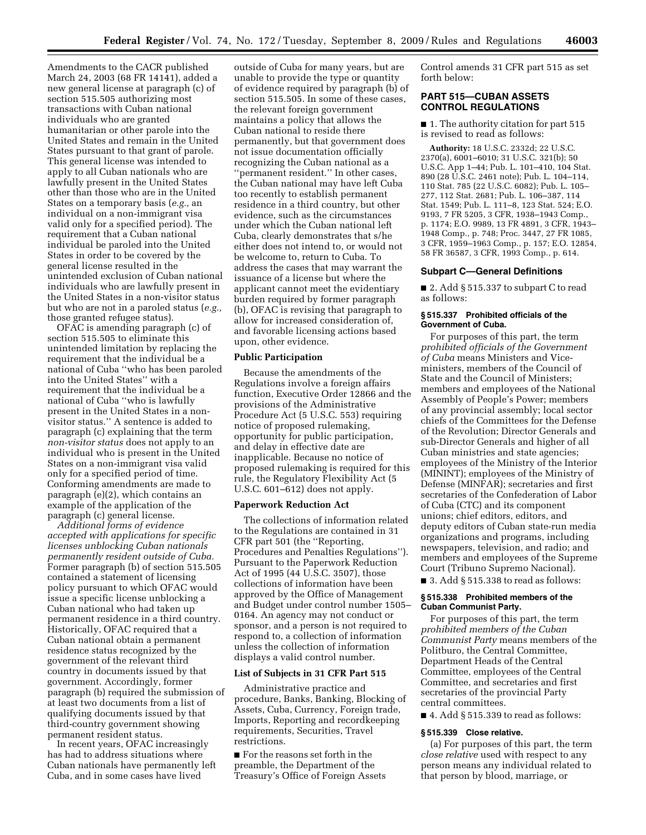Amendments to the CACR published March 24, 2003 (68 FR 14141), added a new general license at paragraph (c) of section 515.505 authorizing most transactions with Cuban national individuals who are granted humanitarian or other parole into the United States and remain in the United States pursuant to that grant of parole. This general license was intended to apply to all Cuban nationals who are lawfully present in the United States other than those who are in the United States on a temporary basis (*e.g.,* an individual on a non-immigrant visa valid only for a specified period). The requirement that a Cuban national individual be paroled into the United States in order to be covered by the general license resulted in the unintended exclusion of Cuban national individuals who are lawfully present in the United States in a non-visitor status but who are not in a paroled status (*e.g.,*  those granted refugee status).

OFAC is amending paragraph (c) of section 515.505 to eliminate this unintended limitation by replacing the requirement that the individual be a national of Cuba ''who has been paroled into the United States'' with a requirement that the individual be a national of Cuba ''who is lawfully present in the United States in a nonvisitor status.'' A sentence is added to paragraph (c) explaining that the term *non-visitor status* does not apply to an individual who is present in the United States on a non-immigrant visa valid only for a specified period of time. Conforming amendments are made to paragraph (e)(2), which contains an example of the application of the paragraph (c) general license.

*Additional forms of evidence accepted with applications for specific licenses unblocking Cuban nationals permanently resident outside of Cuba.*  Former paragraph (b) of section 515.505 contained a statement of licensing policy pursuant to which OFAC would issue a specific license unblocking a Cuban national who had taken up permanent residence in a third country. Historically, OFAC required that a Cuban national obtain a permanent residence status recognized by the government of the relevant third country in documents issued by that government. Accordingly, former paragraph (b) required the submission of at least two documents from a list of qualifying documents issued by that third-country government showing permanent resident status.

In recent years, OFAC increasingly has had to address situations where Cuban nationals have permanently left Cuba, and in some cases have lived

outside of Cuba for many years, but are unable to provide the type or quantity of evidence required by paragraph (b) of section 515.505. In some of these cases, the relevant foreign government maintains a policy that allows the Cuban national to reside there permanently, but that government does not issue documentation officially recognizing the Cuban national as a ''permanent resident.'' In other cases, the Cuban national may have left Cuba too recently to establish permanent residence in a third country, but other evidence, such as the circumstances under which the Cuban national left Cuba, clearly demonstrates that s/he either does not intend to, or would not be welcome to, return to Cuba. To address the cases that may warrant the issuance of a license but where the applicant cannot meet the evidentiary burden required by former paragraph (b), OFAC is revising that paragraph to allow for increased consideration of, and favorable licensing actions based upon, other evidence.

#### **Public Participation**

Because the amendments of the Regulations involve a foreign affairs function, Executive Order 12866 and the provisions of the Administrative Procedure Act (5 U.S.C. 553) requiring notice of proposed rulemaking, opportunity for public participation, and delay in effective date are inapplicable. Because no notice of proposed rulemaking is required for this rule, the Regulatory Flexibility Act (5 U.S.C. 601–612) does not apply.

#### **Paperwork Reduction Act**

The collections of information related to the Regulations are contained in 31 CFR part 501 (the ''Reporting, Procedures and Penalties Regulations''). Pursuant to the Paperwork Reduction Act of 1995 (44 U.S.C. 3507), those collections of information have been approved by the Office of Management and Budget under control number 1505– 0164. An agency may not conduct or sponsor, and a person is not required to respond to, a collection of information unless the collection of information displays a valid control number.

#### **List of Subjects in 31 CFR Part 515**

Administrative practice and procedure, Banks, Banking, Blocking of Assets, Cuba, Currency, Foreign trade, Imports, Reporting and recordkeeping requirements, Securities, Travel restrictions.

■ For the reasons set forth in the preamble, the Department of the Treasury's Office of Foreign Assets Control amends 31 CFR part 515 as set forth below:

# **PART 515—CUBAN ASSETS CONTROL REGULATIONS**

■ 1. The authority citation for part 515 is revised to read as follows:

**Authority:** 18 U.S.C. 2332d; 22 U.S.C. 2370(a), 6001–6010; 31 U.S.C. 321(b); 50 U.S.C. App 1–44; Pub. L. 101–410, 104 Stat. 890 (28 U.S.C. 2461 note); Pub. L. 104–114, 110 Stat. 785 (22 U.S.C. 6082); Pub. L. 105– 277, 112 Stat. 2681; Pub. L. 106–387, 114 Stat. 1549; Pub. L. 111–8, 123 Stat. 524; E.O. 9193, 7 FR 5205, 3 CFR, 1938–1943 Comp., p. 1174; E.O. 9989, 13 FR 4891, 3 CFR, 1943– 1948 Comp., p. 748; Proc. 3447, 27 FR 1085, 3 CFR, 1959–1963 Comp., p. 157; E.O. 12854, 58 FR 36587, 3 CFR, 1993 Comp., p. 614.

#### **Subpart C—General Definitions**

■ 2. Add § 515.337 to subpart C to read as follows:

#### **§ 515.337 Prohibited officials of the Government of Cuba.**

For purposes of this part, the term *prohibited officials of the Government of Cuba* means Ministers and Viceministers, members of the Council of State and the Council of Ministers; members and employees of the National Assembly of People's Power; members of any provincial assembly; local sector chiefs of the Committees for the Defense of the Revolution; Director Generals and sub-Director Generals and higher of all Cuban ministries and state agencies; employees of the Ministry of the Interior (MININT); employees of the Ministry of Defense (MINFAR); secretaries and first secretaries of the Confederation of Labor of Cuba (CTC) and its component unions; chief editors, editors, and deputy editors of Cuban state-run media organizations and programs, including newspapers, television, and radio; and members and employees of the Supreme Court (Tribuno Supremo Nacional).

 $\blacksquare$  3. Add  $\S$  515.338 to read as follows:

#### **§ 515.338 Prohibited members of the Cuban Communist Party.**

For purposes of this part, the term *prohibited members of the Cuban Communist Party* means members of the Politburo, the Central Committee, Department Heads of the Central Committee, employees of the Central Committee, and secretaries and first secretaries of the provincial Party central committees.

 $\blacksquare$  4. Add § 515.339 to read as follows:

## **§ 515.339 Close relative.**

(a) For purposes of this part, the term *close relative* used with respect to any person means any individual related to that person by blood, marriage, or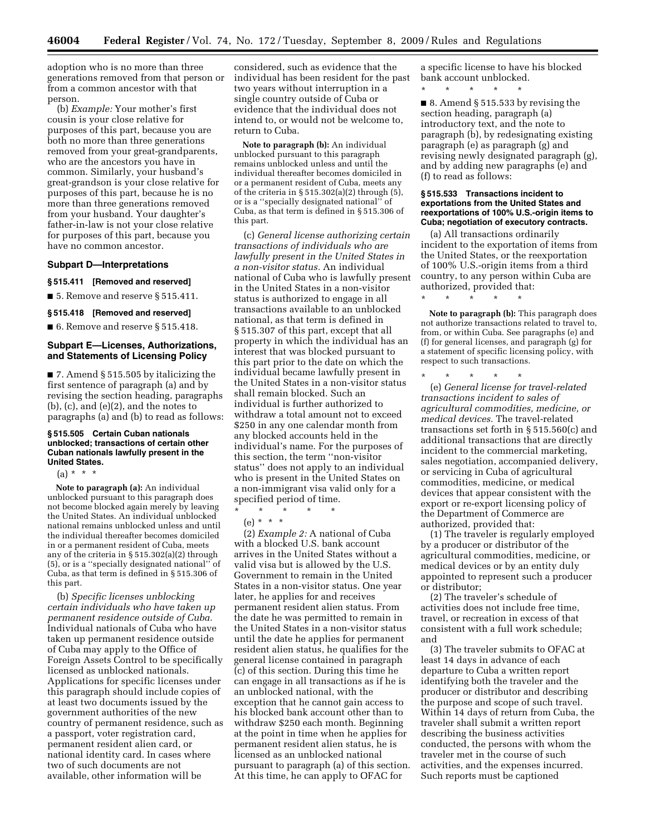adoption who is no more than three generations removed from that person or from a common ancestor with that person.

(b) *Example:* Your mother's first cousin is your close relative for purposes of this part, because you are both no more than three generations removed from your great-grandparents, who are the ancestors you have in common. Similarly, your husband's great-grandson is your close relative for purposes of this part, because he is no more than three generations removed from your husband. Your daughter's father-in-law is not your close relative for purposes of this part, because you have no common ancestor.

#### **Subpart D—Interpretations**

#### **§ 515.411 [Removed and reserved]**

■ 5. Remove and reserve § 515.411.

# **§ 515.418 [Removed and reserved]**

■ 6. Remove and reserve § 515.418.

# **Subpart E—Licenses, Authorizations, and Statements of Licensing Policy**

■ 7. Amend § 515.505 by italicizing the first sentence of paragraph (a) and by revising the section heading, paragraphs (b), (c), and (e)(2), and the notes to paragraphs (a) and (b) to read as follows:

### **§ 515.505 Certain Cuban nationals unblocked; transactions of certain other Cuban nationals lawfully present in the United States.**

 $(a) * * * *$ 

**Note to paragraph (a):** An individual unblocked pursuant to this paragraph does not become blocked again merely by leaving the United States. An individual unblocked national remains unblocked unless and until the individual thereafter becomes domiciled in or a permanent resident of Cuba, meets any of the criteria in § 515.302(a)(2) through (5), or is a ''specially designated national'' of Cuba, as that term is defined in § 515.306 of this part.

(b) *Specific licenses unblocking certain individuals who have taken up permanent residence outside of Cuba.*  Individual nationals of Cuba who have taken up permanent residence outside of Cuba may apply to the Office of Foreign Assets Control to be specifically licensed as unblocked nationals. Applications for specific licenses under this paragraph should include copies of at least two documents issued by the government authorities of the new country of permanent residence, such as a passport, voter registration card, permanent resident alien card, or national identity card. In cases where two of such documents are not available, other information will be

considered, such as evidence that the individual has been resident for the past two years without interruption in a single country outside of Cuba or evidence that the individual does not intend to, or would not be welcome to, return to Cuba.

**Note to paragraph (b):** An individual unblocked pursuant to this paragraph remains unblocked unless and until the individual thereafter becomes domiciled in or a permanent resident of Cuba, meets any of the criteria in  $\S 515.302(a)(2)$  through  $(5)$ , or is a ''specially designated national'' of Cuba, as that term is defined in § 515.306 of this part.

(c) *General license authorizing certain transactions of individuals who are lawfully present in the United States in a non-visitor status.* An individual national of Cuba who is lawfully present in the United States in a non-visitor status is authorized to engage in all transactions available to an unblocked national, as that term is defined in § 515.307 of this part, except that all property in which the individual has an interest that was blocked pursuant to this part prior to the date on which the individual became lawfully present in the United States in a non-visitor status shall remain blocked. Such an individual is further authorized to withdraw a total amount not to exceed \$250 in any one calendar month from any blocked accounts held in the individual's name. For the purposes of this section, the term ''non-visitor status'' does not apply to an individual who is present in the United States on a non-immigrant visa valid only for a specified period of time.

\* \* \* \* \* (e) \* \* \*

(2) *Example 2:* A national of Cuba with a blocked U.S. bank account arrives in the United States without a valid visa but is allowed by the U.S. Government to remain in the United States in a non-visitor status. One year later, he applies for and receives permanent resident alien status. From the date he was permitted to remain in the United States in a non-visitor status until the date he applies for permanent resident alien status, he qualifies for the general license contained in paragraph (c) of this section. During this time he can engage in all transactions as if he is an unblocked national, with the exception that he cannot gain access to his blocked bank account other than to withdraw \$250 each month. Beginning at the point in time when he applies for permanent resident alien status, he is licensed as an unblocked national pursuant to paragraph (a) of this section. At this time, he can apply to OFAC for

a specific license to have his blocked bank account unblocked.

\* \* \* \* \*

 $\blacksquare$  8. Amend § 515.533 by revising the section heading, paragraph (a) introductory text, and the note to paragraph (b), by redesignating existing paragraph (e) as paragraph (g) and revising newly designated paragraph (g), and by adding new paragraphs (e) and (f) to read as follows:

#### **§ 515.533 Transactions incident to exportations from the United States and reexportations of 100% U.S.-origin items to Cuba; negotiation of executory contracts.**

(a) All transactions ordinarily incident to the exportation of items from the United States, or the reexportation of 100% U.S.-origin items from a third country, to any person within Cuba are authorized, provided that:

**Note to paragraph (b):** This paragraph does not authorize transactions related to travel to, from, or within Cuba. See paragraphs (e) and (f) for general licenses, and paragraph (g) for a statement of specific licensing policy, with respect to such transactions.

\* \* \* \* \*

\* \* \* \* \*

(e) *General license for travel-related transactions incident to sales of agricultural commodities, medicine, or medical devices.* The travel-related transactions set forth in § 515.560(c) and additional transactions that are directly incident to the commercial marketing, sales negotiation, accompanied delivery, or servicing in Cuba of agricultural commodities, medicine, or medical devices that appear consistent with the export or re-export licensing policy of the Department of Commerce are authorized, provided that:

(1) The traveler is regularly employed by a producer or distributor of the agricultural commodities, medicine, or medical devices or by an entity duly appointed to represent such a producer or distributor;

(2) The traveler's schedule of activities does not include free time, travel, or recreation in excess of that consistent with a full work schedule; and

(3) The traveler submits to OFAC at least 14 days in advance of each departure to Cuba a written report identifying both the traveler and the producer or distributor and describing the purpose and scope of such travel. Within 14 days of return from Cuba, the traveler shall submit a written report describing the business activities conducted, the persons with whom the traveler met in the course of such activities, and the expenses incurred. Such reports must be captioned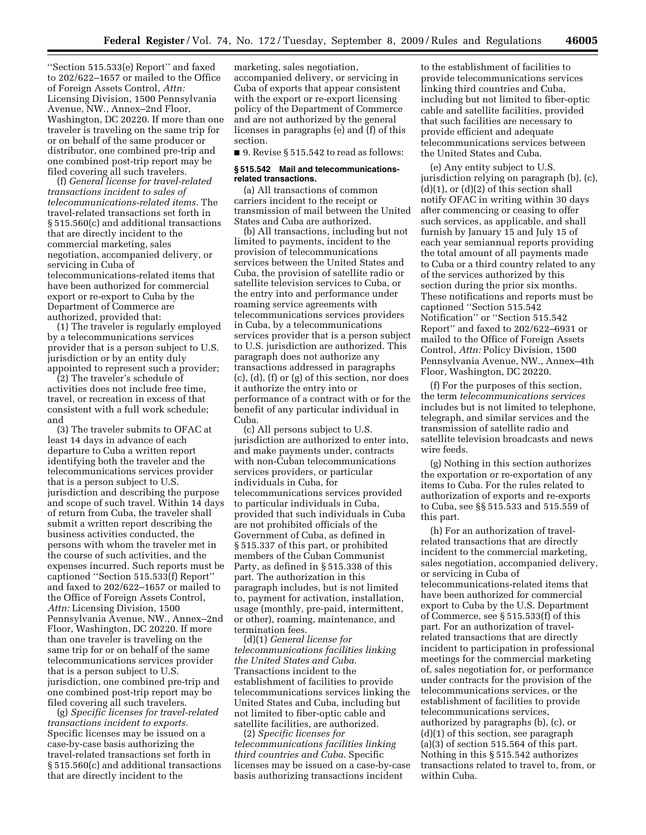''Section 515.533(e) Report'' and faxed to 202/622–1657 or mailed to the Office of Foreign Assets Control, *Attn:*  Licensing Division, 1500 Pennsylvania Avenue, NW., Annex–2nd Floor, Washington, DC 20220. If more than one traveler is traveling on the same trip for or on behalf of the same producer or distributor, one combined pre-trip and one combined post-trip report may be filed covering all such travelers.

(f) *General license for travel-related transactions incident to sales of telecommunications-related items.* The travel-related transactions set forth in § 515.560(c) and additional transactions that are directly incident to the commercial marketing, sales negotiation, accompanied delivery, or servicing in Cuba of telecommunications-related items that have been authorized for commercial export or re-export to Cuba by the Department of Commerce are authorized, provided that:

(1) The traveler is regularly employed by a telecommunications services provider that is a person subject to U.S. jurisdiction or by an entity duly appointed to represent such a provider;

(2) The traveler's schedule of activities does not include free time, travel, or recreation in excess of that consistent with a full work schedule; and

(3) The traveler submits to OFAC at least 14 days in advance of each departure to Cuba a written report identifying both the traveler and the telecommunications services provider that is a person subject to U.S. jurisdiction and describing the purpose and scope of such travel. Within 14 days of return from Cuba, the traveler shall submit a written report describing the business activities conducted, the persons with whom the traveler met in the course of such activities, and the expenses incurred. Such reports must be captioned ''Section 515.533(f) Report'' and faxed to 202/622–1657 or mailed to the Office of Foreign Assets Control, *Attn:* Licensing Division, 1500 Pennsylvania Avenue, NW., Annex–2nd Floor, Washington, DC 20220. If more than one traveler is traveling on the same trip for or on behalf of the same telecommunications services provider that is a person subject to U.S. jurisdiction, one combined pre-trip and one combined post-trip report may be filed covering all such travelers.

(g) *Specific licenses for travel-related transactions incident to exports.*  Specific licenses may be issued on a case-by-case basis authorizing the travel-related transactions set forth in § 515.560(c) and additional transactions that are directly incident to the

marketing, sales negotiation, accompanied delivery, or servicing in Cuba of exports that appear consistent with the export or re-export licensing policy of the Department of Commerce and are not authorized by the general licenses in paragraphs (e) and (f) of this section.

■ 9. Revise § 515.542 to read as follows:

### **§ 515.542 Mail and telecommunicationsrelated transactions.**

(a) All transactions of common carriers incident to the receipt or transmission of mail between the United States and Cuba are authorized.

(b) All transactions, including but not limited to payments, incident to the provision of telecommunications services between the United States and Cuba, the provision of satellite radio or satellite television services to Cuba, or the entry into and performance under roaming service agreements with telecommunications services providers in Cuba, by a telecommunications services provider that is a person subject to U.S. jurisdiction are authorized. This paragraph does not authorize any transactions addressed in paragraphs (c), (d), (f) or (g) of this section, nor does it authorize the entry into or performance of a contract with or for the benefit of any particular individual in Cuba.

(c) All persons subject to U.S. jurisdiction are authorized to enter into, and make payments under, contracts with non-Cuban telecommunications services providers, or particular individuals in Cuba, for telecommunications services provided to particular individuals in Cuba, provided that such individuals in Cuba are not prohibited officials of the Government of Cuba, as defined in § 515.337 of this part, or prohibited members of the Cuban Communist Party, as defined in § 515.338 of this part. The authorization in this paragraph includes, but is not limited to, payment for activation, installation, usage (monthly, pre-paid, intermittent, or other), roaming, maintenance, and termination fees.

(d)(1) *General license for telecommunications facilities linking the United States and Cuba.*  Transactions incident to the establishment of facilities to provide telecommunications services linking the United States and Cuba, including but not limited to fiber-optic cable and satellite facilities, are authorized.

(2) *Specific licenses for telecommunications facilities linking third countries and Cuba.* Specific licenses may be issued on a case-by-case basis authorizing transactions incident

to the establishment of facilities to provide telecommunications services linking third countries and Cuba, including but not limited to fiber-optic cable and satellite facilities, provided that such facilities are necessary to provide efficient and adequate telecommunications services between the United States and Cuba.

(e) Any entity subject to U.S. jurisdiction relying on paragraph (b), (c),  $(d)(1)$ , or  $(d)(2)$  of this section shall notify OFAC in writing within 30 days after commencing or ceasing to offer such services, as applicable, and shall furnish by January 15 and July 15 of each year semiannual reports providing the total amount of all payments made to Cuba or a third country related to any of the services authorized by this section during the prior six months. These notifications and reports must be captioned ''Section 515.542 Notification'' or ''Section 515.542 Report'' and faxed to 202/622–6931 or mailed to the Office of Foreign Assets Control, *Attn:* Policy Division, 1500 Pennsylvania Avenue, NW., Annex–4th Floor, Washington, DC 20220.

(f) For the purposes of this section, the term *telecommunications services*  includes but is not limited to telephone, telegraph, and similar services and the transmission of satellite radio and satellite television broadcasts and news wire feeds.

(g) Nothing in this section authorizes the exportation or re-exportation of any items to Cuba. For the rules related to authorization of exports and re-exports to Cuba, see §§ 515.533 and 515.559 of this part.

(h) For an authorization of travelrelated transactions that are directly incident to the commercial marketing, sales negotiation, accompanied delivery, or servicing in Cuba of telecommunications-related items that have been authorized for commercial export to Cuba by the U.S. Department of Commerce, see § 515.533(f) of this part. For an authorization of travelrelated transactions that are directly incident to participation in professional meetings for the commercial marketing of, sales negotiation for, or performance under contracts for the provision of the telecommunications services, or the establishment of facilities to provide telecommunications services, authorized by paragraphs (b), (c), or (d)(1) of this section, see paragraph  $(a)(3)$  of section 515.564 of this part. Nothing in this § 515.542 authorizes transactions related to travel to, from, or within Cuba.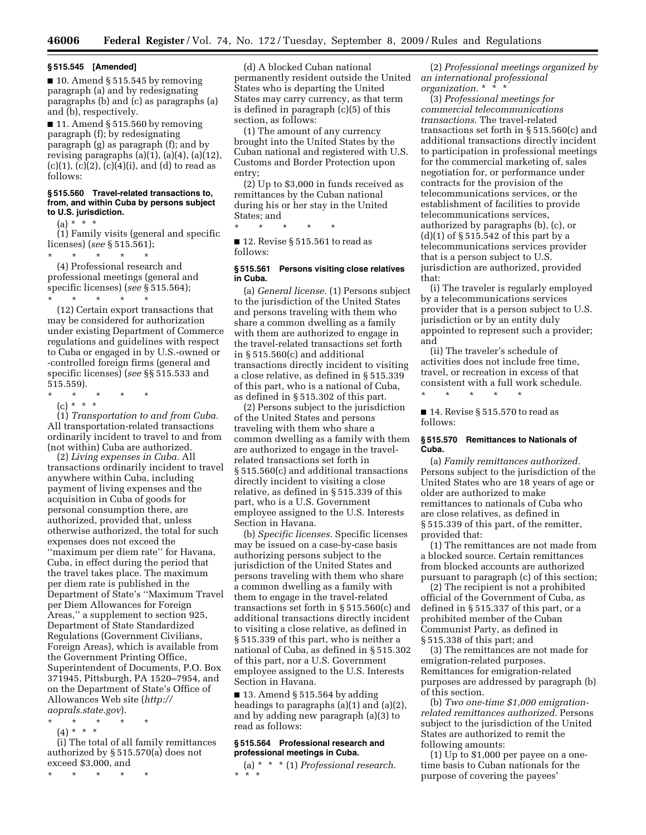#### **§ 515.545 [Amended]**

 $\blacksquare$  10. Amend § 515.545 by removing paragraph (a) and by redesignating paragraphs (b) and (c) as paragraphs (a) and (b), respectively.

■ 11. Amend § 515.560 by removing paragraph (f); by redesignating paragraph (g) as paragraph (f); and by revising paragraphs  $(a)(1)$ ,  $(a)(4)$ ,  $(a)(12)$ ,  $(c)(1)$ ,  $(c)(2)$ ,  $(c)(4)(i)$ , and  $(d)$  to read as follows:

#### **§ 515.560 Travel-related transactions to, from, and within Cuba by persons subject to U.S. jurisdiction.**

 $(a) * * * *$ 

(1) Family visits (general and specific licenses) (*see* § 515.561);

\* \* \* \* \* (4) Professional research and professional meetings (general and specific licenses) (*see* § 515.564); \* \* \* \* \*

(12) Certain export transactions that may be considered for authorization under existing Department of Commerce regulations and guidelines with respect to Cuba or engaged in by U.S.-owned or -controlled foreign firms (general and specific licenses) (*see* §§ 515.533 and 515.559).

- \* \* \* \* \*
- (c) \* \* \*

(1) *Transportation to and from Cuba.*  All transportation-related transactions ordinarily incident to travel to and from (not within) Cuba are authorized.

(2) *Living expenses in Cuba.* All transactions ordinarily incident to travel anywhere within Cuba, including payment of living expenses and the acquisition in Cuba of goods for personal consumption there, are authorized, provided that, unless otherwise authorized, the total for such expenses does not exceed the ''maximum per diem rate'' for Havana, Cuba, in effect during the period that the travel takes place. The maximum per diem rate is published in the Department of State's ''Maximum Travel per Diem Allowances for Foreign Areas,'' a supplement to section 925, Department of State Standardized Regulations (Government Civilians, Foreign Areas), which is available from the Government Printing Office, Superintendent of Documents, P.O. Box 371945, Pittsburgh, PA 1520–7954, and on the Department of State's Office of Allowances Web site (*http:// aoprals.state.gov*).

- \* \* \* \* \*
- $(4) * * * *$

(i) The total of all family remittances authorized by § 515.570(a) does not exceed \$3,000, and

\* \* \* \* \*

(d) A blocked Cuban national permanently resident outside the United States who is departing the United States may carry currency, as that term is defined in paragraph (c)(5) of this section, as follows:

(1) The amount of any currency brought into the United States by the Cuban national and registered with U.S. Customs and Border Protection upon entry;

(2) Up to \$3,000 in funds received as remittances by the Cuban national during his or her stay in the United States; and

\* \* \* \* \*

 $\blacksquare$  12. Revise § 515.561 to read as follows:

# **§ 515.561 Persons visiting close relatives in Cuba.**

(a) *General license.* (1) Persons subject to the jurisdiction of the United States and persons traveling with them who share a common dwelling as a family with them are authorized to engage in the travel-related transactions set forth in § 515.560(c) and additional transactions directly incident to visiting a close relative, as defined in § 515.339 of this part, who is a national of Cuba, as defined in § 515.302 of this part.

(2) Persons subject to the jurisdiction of the United States and persons traveling with them who share a common dwelling as a family with them are authorized to engage in the travelrelated transactions set forth in § 515.560(c) and additional transactions directly incident to visiting a close relative, as defined in § 515.339 of this part, who is a U.S. Government employee assigned to the U.S. Interests Section in Havana.

(b) *Specific licenses.* Specific licenses may be issued on a case-by-case basis authorizing persons subject to the jurisdiction of the United States and persons traveling with them who share a common dwelling as a family with them to engage in the travel-related transactions set forth in § 515.560(c) and additional transactions directly incident to visiting a close relative, as defined in § 515.339 of this part, who is neither a national of Cuba, as defined in § 515.302 of this part, nor a U.S. Government employee assigned to the U.S. Interests Section in Havana.

 $\blacksquare$  13. Amend § 515.564 by adding headings to paragraphs (a)(1) and (a)(2), and by adding new paragraph (a)(3) to read as follows:

### **§ 515.564 Professional research and professional meetings in Cuba.**

(a) \* \* \* (1) *Professional research.*  \* \* \*

(2) *Professional meetings organized by an international professional organization.* \* \* \*

(3) *Professional meetings for commercial telecommunications transactions.* The travel-related transactions set forth in § 515.560(c) and additional transactions directly incident to participation in professional meetings for the commercial marketing of, sales negotiation for, or performance under contracts for the provision of the telecommunications services, or the establishment of facilities to provide telecommunications services, authorized by paragraphs (b), (c), or (d)(1) of § 515.542 of this part by a telecommunications services provider that is a person subject to U.S. jurisdiction are authorized, provided that:

(i) The traveler is regularly employed by a telecommunications services provider that is a person subject to U.S. jurisdiction or by an entity duly appointed to represent such a provider; and

(ii) The traveler's schedule of activities does not include free time, travel, or recreation in excess of that consistent with a full work schedule. \* \* \* \* \*

 $\blacksquare$  14. Revise § 515.570 to read as follows:

#### **§ 515.570 Remittances to Nationals of Cuba.**

(a) *Family remittances authorized.*  Persons subject to the jurisdiction of the United States who are 18 years of age or older are authorized to make remittances to nationals of Cuba who are close relatives, as defined in § 515.339 of this part, of the remitter, provided that:

(1) The remittances are not made from a blocked source. Certain remittances from blocked accounts are authorized pursuant to paragraph (c) of this section;

(2) The recipient is not a prohibited official of the Government of Cuba, as defined in § 515.337 of this part, or a prohibited member of the Cuban Communist Party, as defined in § 515.338 of this part; and

(3) The remittances are not made for emigration-related purposes. Remittances for emigration-related purposes are addressed by paragraph (b) of this section.

(b) *Two one-time \$1,000 emigrationrelated remittances authorized.* Persons subject to the jurisdiction of the United States are authorized to remit the following amounts:

(1) Up to \$1,000 per payee on a onetime basis to Cuban nationals for the purpose of covering the payees'